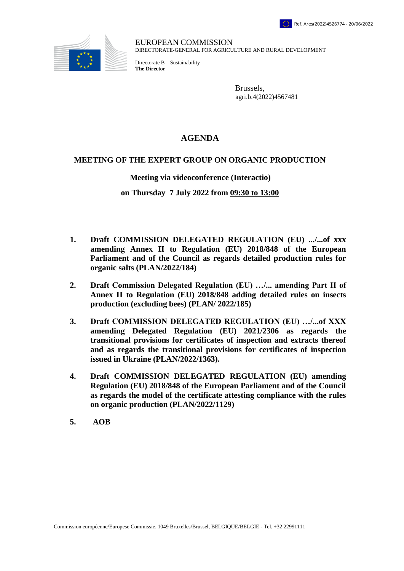

EUROPEAN COMMISSION DIRECTORATE-GENERAL FOR AGRICULTURE AND RURAL DEVELOPMENT

Directorate B – Sustainability **The Director**

> Brussels, [agri.b.4\(2022\)4567481](https://webgate.ec.testa.eu/Ares/document/show.do?documentId=080166e5ed1d23be×tamp=1654595869042)

## **AGENDA**

## **MEETING OF THE EXPERT GROUP ON ORGANIC PRODUCTION**

## **Meeting via videoconference (Interactio)**

## **on Thursday 7 July 2022 from 09:30 to 13:00**

- **1. Draft COMMISSION DELEGATED REGULATION (EU) .../...of xxx amending Annex II to Regulation (EU) 2018/848 of the European Parliament and of the Council as regards detailed production rules for organic salts (PLAN/2022/184)**
- **2. Draft Commission Delegated Regulation (EU) …/... amending Part II of Annex II to Regulation (EU) 2018/848 adding detailed rules on insects production (excluding bees) (PLAN/ 2022/185)**
- **3. Draft COMMISSION DELEGATED REGULATION (EU) …/...of XXX amending Delegated Regulation (EU) 2021/2306 as regards the transitional provisions for certificates of inspection and extracts thereof and as regards the transitional provisions for certificates of inspection issued in Ukraine (PLAN/2022/1363).**
- **4. Draft COMMISSION DELEGATED REGULATION (EU) amending Regulation (EU) 2018/848 of the European Parliament and of the Council as regards the model of the certificate attesting compliance with the rules on organic production (PLAN/2022/1129)**
- **5. AOB**